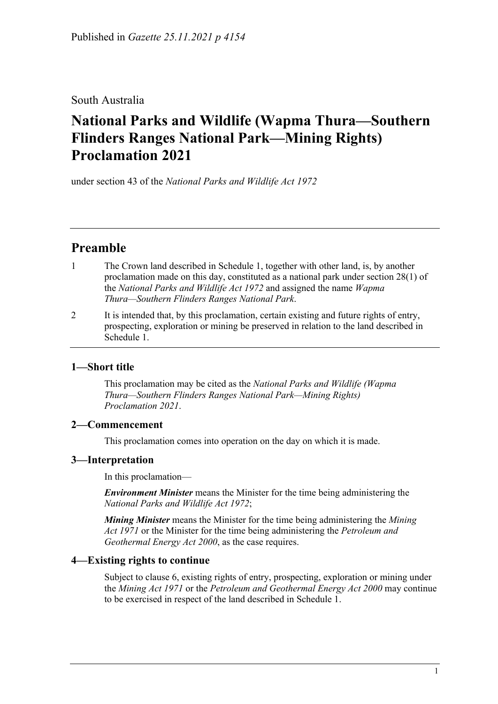South Australia

# **National Parks and Wildlife (Wapma Thura—Southern Flinders Ranges National Park—Mining Rights) Proclamation 2021**

under section 43 of the *National Parks and Wildlife Act 1972*

## **Preamble**

- 1 The Crown land described in [Schedule](#page-2-0) 1, together with other land, is, by another proclamation made on this day, constituted as a national park under section 28(1) of the *[National Parks and Wildlife Act](http://www.legislation.sa.gov.au/index.aspx?action=legref&type=act&legtitle=National%20Parks%20and%20Wildlife%20Act%201972) 1972* and assigned the name *Wapma Thura—Southern Flinders Ranges National Park*.
- 2 It is intended that, by this proclamation, certain existing and future rights of entry, prospecting, exploration or mining be preserved in relation to the land described in [Schedule](#page-2-0) 1.

## **1—Short title**

This proclamation may be cited as the *National Parks and Wildlife (Wapma Thura—Southern Flinders Ranges National Park—Mining Rights) Proclamation 2021*.

## **2—Commencement**

This proclamation comes into operation on the day on which it is made.

## **3—Interpretation**

In this proclamation—

*Environment Minister* means the Minister for the time being administering the *[National Parks and Wildlife Act](http://www.legislation.sa.gov.au/index.aspx?action=legref&type=act&legtitle=National%20Parks%20and%20Wildlife%20Act%201972) 1972*;

*Mining Minister* means the Minister for the time being administering the *[Mining](http://www.legislation.sa.gov.au/index.aspx?action=legref&type=act&legtitle=Mining%20Act%201971)  Act [1971](http://www.legislation.sa.gov.au/index.aspx?action=legref&type=act&legtitle=Mining%20Act%201971)* or the Minister for the time being administering the *[Petroleum and](http://www.legislation.sa.gov.au/index.aspx?action=legref&type=act&legtitle=Petroleum%20and%20Geothermal%20Energy%20Act%202000)  [Geothermal Energy Act](http://www.legislation.sa.gov.au/index.aspx?action=legref&type=act&legtitle=Petroleum%20and%20Geothermal%20Energy%20Act%202000) 2000*, as the case requires.

## **4—Existing rights to continue**

Subject to [clause](#page-1-0) 6, existing rights of entry, prospecting, exploration or mining under the *[Mining Act](http://www.legislation.sa.gov.au/index.aspx?action=legref&type=act&legtitle=Mining%20Act%201971) 1971* or the *[Petroleum and Geothermal Energy Act](http://www.legislation.sa.gov.au/index.aspx?action=legref&type=act&legtitle=Petroleum%20and%20Geothermal%20Energy%20Act%202000) 2000* may continue to be exercised in respect of the land described in [Schedule](#page-2-0) 1.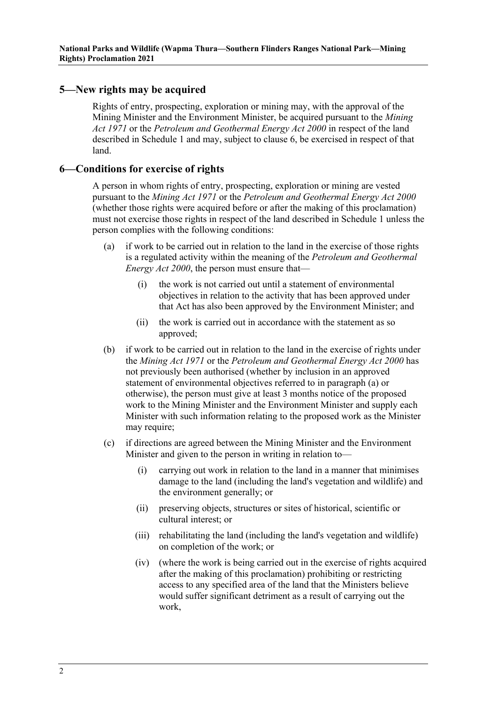#### <span id="page-1-3"></span>**5—New rights may be acquired**

Rights of entry, prospecting, exploration or mining may, with the approval of the Mining Minister and the Environment Minister, be acquired pursuant to the *[Mining](http://www.legislation.sa.gov.au/index.aspx?action=legref&type=act&legtitle=Mining%20Act%201971)  Act [1971](http://www.legislation.sa.gov.au/index.aspx?action=legref&type=act&legtitle=Mining%20Act%201971)* or the *[Petroleum and Geothermal Energy Act](http://www.legislation.sa.gov.au/index.aspx?action=legref&type=act&legtitle=Petroleum%20and%20Geothermal%20Energy%20Act%202000) 2000* in respect of the land described in [Schedule](#page-2-0) 1 and may, subject to [clause](#page-1-0) 6, be exercised in respect of that land.

#### <span id="page-1-0"></span>**6—Conditions for exercise of rights**

A person in whom rights of entry, prospecting, exploration or mining are vested pursuant to the *[Mining Act](http://www.legislation.sa.gov.au/index.aspx?action=legref&type=act&legtitle=Mining%20Act%201971) 1971* or the *[Petroleum and Geothermal Energy Act](http://www.legislation.sa.gov.au/index.aspx?action=legref&type=act&legtitle=Petroleum%20and%20Geothermal%20Energy%20Act%202000) 2000* (whether those rights were acquired before or after the making of this proclamation) must not exercise those rights in respect of the land described in [Schedule](#page-2-0) 1 unless the person complies with the following conditions:

- <span id="page-1-1"></span>(a) if work to be carried out in relation to the land in the exercise of those rights is a regulated activity within the meaning of the *[Petroleum and Geothermal](http://www.legislation.sa.gov.au/index.aspx?action=legref&type=act&legtitle=Petroleum%20and%20Geothermal%20Energy%20Act%202000)  [Energy Act](http://www.legislation.sa.gov.au/index.aspx?action=legref&type=act&legtitle=Petroleum%20and%20Geothermal%20Energy%20Act%202000) 2000*, the person must ensure that—
	- (i) the work is not carried out until a statement of environmental objectives in relation to the activity that has been approved under that Act has also been approved by the Environment Minister; and
	- (ii) the work is carried out in accordance with the statement as so approved;
- (b) if work to be carried out in relation to the land in the exercise of rights under the *[Mining Act](http://www.legislation.sa.gov.au/index.aspx?action=legref&type=act&legtitle=Mining%20Act%201971) 1971* or the *[Petroleum and Geothermal Energy Act](http://www.legislation.sa.gov.au/index.aspx?action=legref&type=act&legtitle=Petroleum%20and%20Geothermal%20Energy%20Act%202000) 2000* has not previously been authorised (whether by inclusion in an approved statement of environmental objectives referred to in [paragraph](#page-1-1) (a) or otherwise), the person must give at least 3 months notice of the proposed work to the Mining Minister and the Environment Minister and supply each Minister with such information relating to the proposed work as the Minister may require;
- <span id="page-1-4"></span><span id="page-1-2"></span>(c) if directions are agreed between the Mining Minister and the Environment Minister and given to the person in writing in relation to—
	- (i) carrying out work in relation to the land in a manner that minimises damage to the land (including the land's vegetation and wildlife) and the environment generally; or
	- (ii) preserving objects, structures or sites of historical, scientific or cultural interest; or
	- (iii) rehabilitating the land (including the land's vegetation and wildlife) on completion of the work; or
	- (iv) (where the work is being carried out in the exercise of rights acquired after the making of this proclamation) prohibiting or restricting access to any specified area of the land that the Ministers believe would suffer significant detriment as a result of carrying out the work,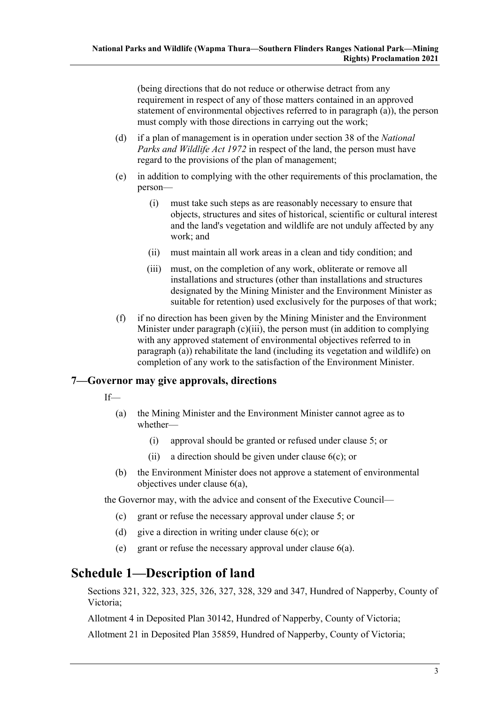(being directions that do not reduce or otherwise detract from any requirement in respect of any of those matters contained in an approved statement of environmental objectives referred to in [paragraph](#page-1-1) (a)), the person must comply with those directions in carrying out the work;

- (d) if a plan of management is in operation under section 38 of the *[National](http://www.legislation.sa.gov.au/index.aspx?action=legref&type=act&legtitle=National%20Parks%20and%20Wildlife%20Act%201972)  [Parks and Wildlife Act](http://www.legislation.sa.gov.au/index.aspx?action=legref&type=act&legtitle=National%20Parks%20and%20Wildlife%20Act%201972) 1972* in respect of the land, the person must have regard to the provisions of the plan of management;
- (e) in addition to complying with the other requirements of this proclamation, the person—
	- (i) must take such steps as are reasonably necessary to ensure that objects, structures and sites of historical, scientific or cultural interest and the land's vegetation and wildlife are not unduly affected by any work; and
	- (ii) must maintain all work areas in a clean and tidy condition; and
	- (iii) must, on the completion of any work, obliterate or remove all installations and structures (other than installations and structures designated by the Mining Minister and the Environment Minister as suitable for retention) used exclusively for the purposes of that work;
- (f) if no direction has been given by the Mining Minister and the Environment Minister under [paragraph](#page-1-2) (c)(iii), the person must (in addition to complying with any approved statement of environmental objectives referred to in [paragraph](#page-1-1) (a)) rehabilitate the land (including its vegetation and wildlife) on completion of any work to the satisfaction of the Environment Minister.

#### **7—Governor may give approvals, directions**

- If—
	- (a) the Mining Minister and the Environment Minister cannot agree as to whether—
		- (i) approval should be granted or refused under [clause](#page-1-3) 5; or
		- (ii) a direction should be given under [clause](#page-1-4) 6(c); or
	- (b) the Environment Minister does not approve a statement of environmental objectives under [clause](#page-1-1) 6(a),

the Governor may, with the advice and consent of the Executive Council—

- (c) grant or refuse the necessary approval under [clause](#page-1-3) 5; or
- (d) give a direction in writing under [clause](#page-1-4)  $6(c)$ ; or
- (e) grant or refuse the necessary approval under [clause](#page-1-1) 6(a).

## <span id="page-2-0"></span>**Schedule 1—Description of land**

Sections 321, 322, 323, 325, 326, 327, 328, 329 and 347, Hundred of Napperby, County of Victoria;

Allotment 4 in Deposited Plan 30142, Hundred of Napperby, County of Victoria;

Allotment 21 in Deposited Plan 35859, Hundred of Napperby, County of Victoria;